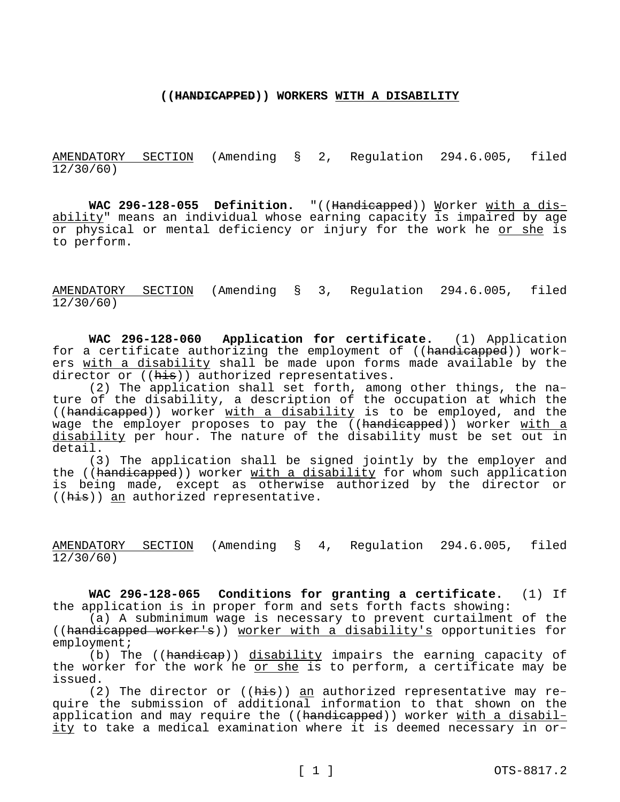### **((HANDICAPPED)) WORKERS WITH A DISABILITY**

AMENDATORY SECTION (Amending § 2, Regulation 294.6.005, filed 12/30/60)

**WAC 296-128-055 Definition.** "((Handicapped)) Worker with a disability" means an individual whose earning capacity is impaired by age or physical or mental deficiency or injury for the work he or she is to perform.

AMENDATORY SECTION (Amending § 3, Regulation 294.6.005, filed 12/30/60)

**WAC 296-128-060 Application for certificate.** (1) Application for a certificate authorizing the employment of ((handicapped)) workers with a disability shall be made upon forms made available by the director or ((his)) authorized representatives.

(2) The application shall set forth, among other things, the nature of the disability, a description of the occupation at which the ((handicapped)) worker with a disability is to be employed, and the wage the employer proposes to pay the ((handicapped)) worker with a disability per hour. The nature of the disability must be set out in detail.

(3) The application shall be signed jointly by the employer and the ((handicapped)) worker with a disability for whom such application is being made, except as otherwise authorized by the director or ((his)) an authorized representative.

AMENDATORY SECTION (Amending § 4, Regulation 294.6.005, filed 12/30/60)

**WAC 296-128-065 Conditions for granting a certificate.** (1) If the application is in proper form and sets forth facts showing:

(a) A subminimum wage is necessary to prevent curtailment of the ((handicapped worker's)) worker with a disability's opportunities for employment;

(b) The ((handicap)) disability impairs the earning capacity of the worker for the work he or she is to perform, a certificate may be issued.

(2) The director or ((his)) an authorized representative may require the submission of additional information to that shown on the application and may require the ((handicapped)) worker with a disability to take a medical examination where it is deemed necessary in or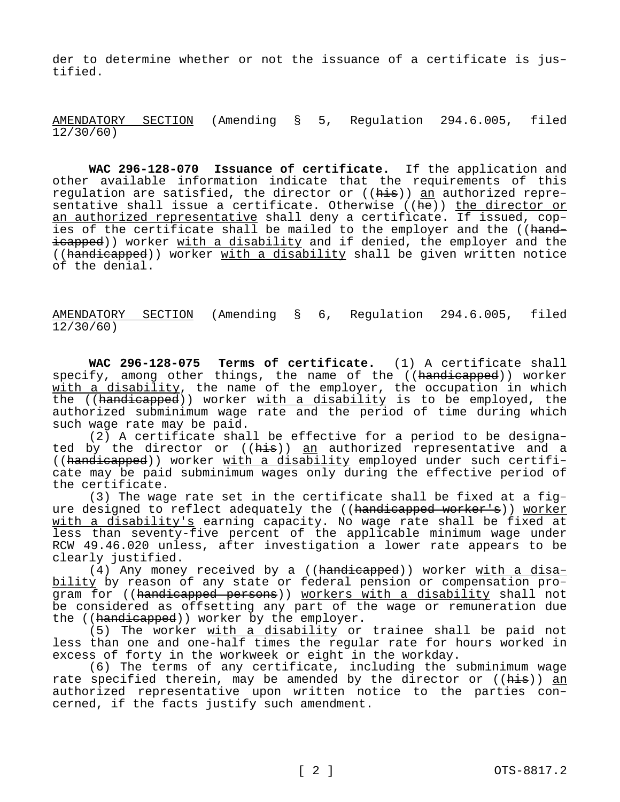der to determine whether or not the issuance of a certificate is justified.

AMENDATORY SECTION (Amending § 5, Regulation 294.6.005, filed 12/30/60)

**WAC 296-128-070 Issuance of certificate.** If the application and other available information indicate that the requirements of this regulation are satisfied, the director or ((<del>his</del>)) <u>an</u> authorized representative shall issue a certificate. Otherwise ((he)) the director or an authorized representative shall deny a certificate. If issued, copies of the certificate shall be mailed to the employer and the ((handicapped)) worker with a disability and if denied, the employer and the ((handicapped)) worker with a disability shall be given written notice of the denial.

AMENDATORY SECTION (Amending § 6, Regulation 294.6.005, filed 12/30/60)

**WAC 296-128-075 Terms of certificate.** (1) A certificate shall specify, among other things, the name of the ((handicapped)) worker with a disability, the name of the employer, the occupation in which the ((handicapped)) worker with a disability is to be employed, the authorized subminimum wage rate and the period of time during which such wage rate may be paid.

(2) A certificate shall be effective for a period to be designated by the director or ((his)) an authorized representative and a ((handicapped)) worker with a disability employed under such certificate may be paid subminimum wages only during the effective period of the certificate.

(3) The wage rate set in the certificate shall be fixed at a figure designed to reflect adequately the ((handicapped worker's)) worker with a disability's earning capacity. No wage rate shall be fixed at less than seventy-five percent of the applicable minimum wage under RCW 49.46.020 unless, after investigation a lower rate appears to be clearly justified.

(4) Any money received by a ((handicapped)) worker with a disability by reason of any state or federal pension or compensation program for ((handicapped persons)) workers with a disability shall not be considered as offsetting any part of the wage or remuneration due the ((handicapped)) worker by the employer.

(5) The worker with a disability or trainee shall be paid not less than one and one-half times the regular rate for hours worked in excess of forty in the workweek or eight in the workday.

(6) The terms of any certificate, including the subminimum wage rate specified therein, may be amended by the director or ((<del>his</del>)) <u>an</u> authorized representative upon written notice to the parties concerned, if the facts justify such amendment.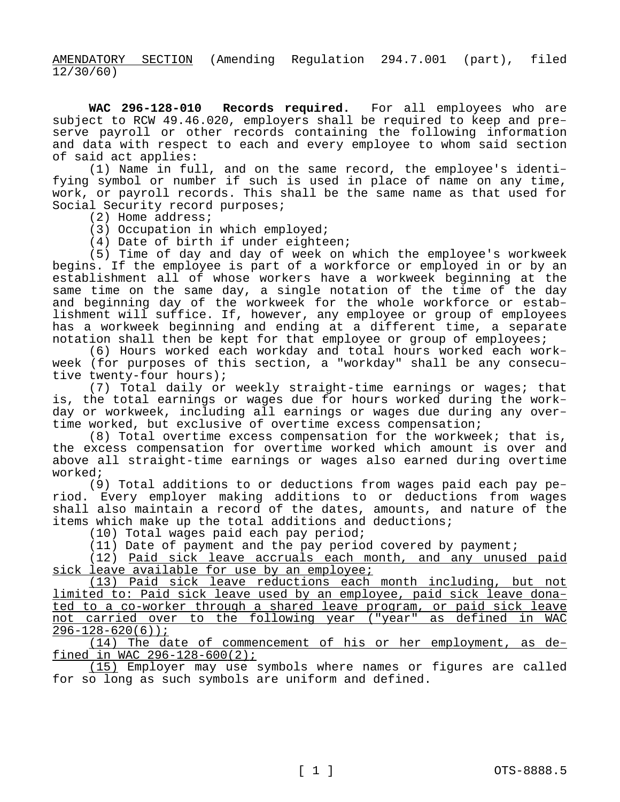AMENDATORY SECTION (Amending Regulation 294.7.001 (part), filed 12/30/60)

**WAC 296-128-010 Records required.** For all employees who are subject to RCW 49.46.020, employers shall be required to keep and preserve payroll or other records containing the following information and data with respect to each and every employee to whom said section of said act applies:

(1) Name in full, and on the same record, the employee's identifying symbol or number if such is used in place of name on any time, work, or payroll records. This shall be the same name as that used for Social Security record purposes;

(2) Home address;

(3) Occupation in which employed;

(4) Date of birth if under eighteen;

(5) Time of day and day of week on which the employee's workweek begins. If the employee is part of a workforce or employed in or by an establishment all of whose workers have a workweek beginning at the same time on the same day, a single notation of the time of the day and beginning day of the workweek for the whole workforce or establishment will suffice. If, however, any employee or group of employees has a workweek beginning and ending at a different time, a separate notation shall then be kept for that employee or group of employees;

(6) Hours worked each workday and total hours worked each workweek (for purposes of this section, a "workday" shall be any consecutive twenty-four hours);

(7) Total daily or weekly straight-time earnings or wages; that is, the total earnings or wages due for hours worked during the workday or workweek, including all earnings or wages due during any overtime worked, but exclusive of overtime excess compensation;

(8) Total overtime excess compensation for the workweek; that is, the excess compensation for overtime worked which amount is over and above all straight-time earnings or wages also earned during overtime worked;

(9) Total additions to or deductions from wages paid each pay period. Every employer making additions to or deductions from wages shall also maintain a record of the dates, amounts, and nature of the items which make up the total additions and deductions;

(10) Total wages paid each pay period;

(11) Date of payment and the pay period covered by payment;

(12) Paid sick leave accruals each month, and any unused paid sick leave available for use by an employee;

(13) Paid sick leave reductions each month including, but not limited to: Paid sick leave used by an employee, paid sick leave donated to a co-worker through a shared leave program, or paid sick leave not carried over to the following year ("year" as defined in WAC  $296-128-620(6)$ ;

(14) The date of commencement of his or her employment, as defined in WAC 296-128-600(2);

(15) Employer may use symbols where names or figures are called for so long as such symbols are uniform and defined.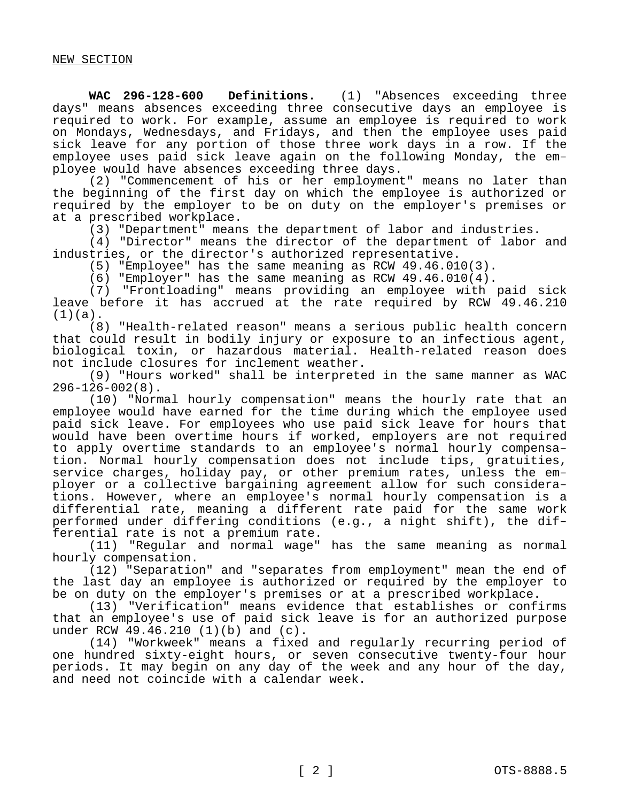**WAC 296-128-600 Definitions.** (1) "Absences exceeding three days" means absences exceeding three consecutive days an employee is required to work. For example, assume an employee is required to work on Mondays, Wednesdays, and Fridays, and then the employee uses paid sick leave for any portion of those three work days in a row. If the employee uses paid sick leave again on the following Monday, the employee would have absences exceeding three days.

(2) "Commencement of his or her employment" means no later than the beginning of the first day on which the employee is authorized or required by the employer to be on duty on the employer's premises or at a prescribed workplace.

(3) "Department" means the department of labor and industries.

(4) "Director" means the director of the department of labor and industries, or the director's authorized representative.

(5) "Employee" has the same meaning as RCW 49.46.010(3).

(6) "Employer" has the same meaning as RCW 49.46.010(4).

(7) "Frontloading" means providing an employee with paid sick leave before it has accrued at the rate required by RCW 49.46.210  $(1)(a)$ .

(8) "Health-related reason" means a serious public health concern that could result in bodily injury or exposure to an infectious agent, biological toxin, or hazardous material. Health-related reason does not include closures for inclement weather.

(9) "Hours worked" shall be interpreted in the same manner as WAC 296-126-002(8).

(10) "Normal hourly compensation" means the hourly rate that an employee would have earned for the time during which the employee used paid sick leave. For employees who use paid sick leave for hours that would have been overtime hours if worked, employers are not required to apply overtime standards to an employee's normal hourly compensation. Normal hourly compensation does not include tips, gratuities, service charges, holiday pay, or other premium rates, unless the employer or a collective bargaining agreement allow for such considerations. However, where an employee's normal hourly compensation is a differential rate, meaning a different rate paid for the same work performed under differing conditions (e.g., a night shift), the differential rate is not a premium rate.

(11) "Regular and normal wage" has the same meaning as normal hourly compensation.

(12) "Separation" and "separates from employment" mean the end of the last day an employee is authorized or required by the employer to be on duty on the employer's premises or at a prescribed workplace.

(13) "Verification" means evidence that establishes or confirms that an employee's use of paid sick leave is for an authorized purpose under RCW 49.46.210 (1)(b) and (c).

(14) "Workweek" means a fixed and regularly recurring period of one hundred sixty-eight hours, or seven consecutive twenty-four hour periods. It may begin on any day of the week and any hour of the day, and need not coincide with a calendar week.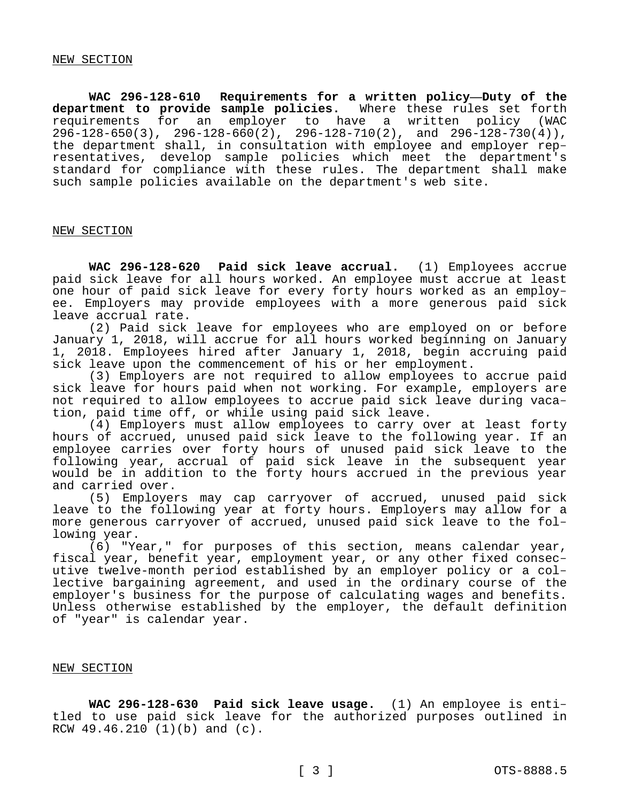**WAC 296-128-610 Requirements for a written policy—Duty of the department to provide sample policies.** Where these rules set forth requirements for an employer to have a written policy (WAC 296-128-650(3), 296-128-660(2), 296-128-710(2), and 296-128-730(4)), the department shall, in consultation with employee and employer representatives, develop sample policies which meet the department's standard for compliance with these rules. The department shall make such sample policies available on the department's web site.

### NEW SECTION

**WAC 296-128-620 Paid sick leave accrual.** (1) Employees accrue paid sick leave for all hours worked. An employee must accrue at least one hour of paid sick leave for every forty hours worked as an employee. Employers may provide employees with a more generous paid sick leave accrual rate.

(2) Paid sick leave for employees who are employed on or before January 1, 2018, will accrue for all hours worked beginning on January 1, 2018. Employees hired after January 1, 2018, begin accruing paid sick leave upon the commencement of his or her employment.

(3) Employers are not required to allow employees to accrue paid sick leave for hours paid when not working. For example, employers are not required to allow employees to accrue paid sick leave during vacation, paid time off, or while using paid sick leave.

(4) Employers must allow employees to carry over at least forty hours of accrued, unused paid sick leave to the following year. If an employee carries over forty hours of unused paid sick leave to the following year, accrual of paid sick leave in the subsequent year would be in addition to the forty hours accrued in the previous year and carried over.

(5) Employers may cap carryover of accrued, unused paid sick leave to the following year at forty hours. Employers may allow for a more generous carryover of accrued, unused paid sick leave to the following year.

(6) "Year," for purposes of this section, means calendar year, fiscal year, benefit year, employment year, or any other fixed consecutive twelve-month period established by an employer policy or a collective bargaining agreement, and used in the ordinary course of the employer's business for the purpose of calculating wages and benefits. Unless otherwise established by the employer, the default definition of "year" is calendar year.

#### NEW SECTION

**WAC 296-128-630 Paid sick leave usage.** (1) An employee is entitled to use paid sick leave for the authorized purposes outlined in RCW 49.46.210 (1)(b) and (c).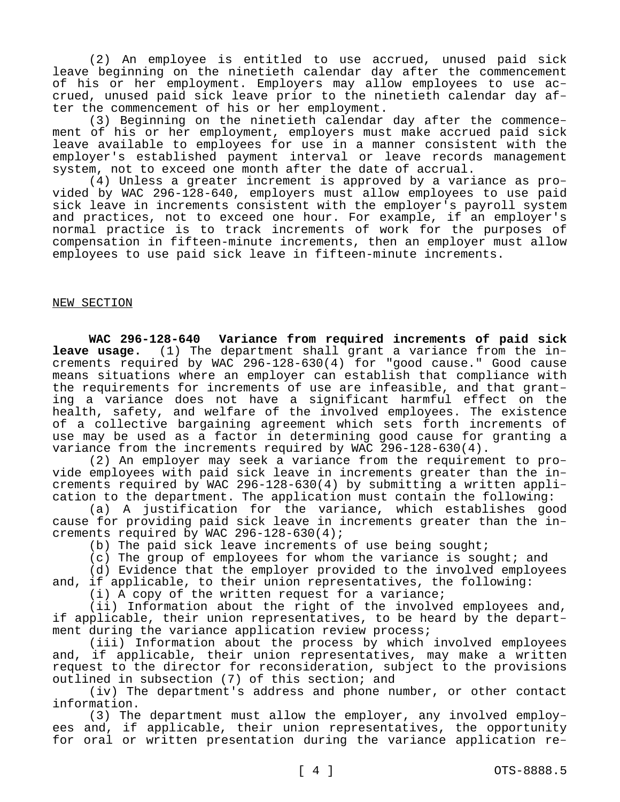(2) An employee is entitled to use accrued, unused paid sick leave beginning on the ninetieth calendar day after the commencement of his or her employment. Employers may allow employees to use accrued, unused paid sick leave prior to the ninetieth calendar day after the commencement of his or her employment.

(3) Beginning on the ninetieth calendar day after the commencement of his or her employment, employers must make accrued paid sick leave available to employees for use in a manner consistent with the employer's established payment interval or leave records management system, not to exceed one month after the date of accrual.

(4) Unless a greater increment is approved by a variance as provided by WAC 296-128-640, employers must allow employees to use paid sick leave in increments consistent with the employer's payroll system and practices, not to exceed one hour. For example, if an employer's normal practice is to track increments of work for the purposes of compensation in fifteen-minute increments, then an employer must allow employees to use paid sick leave in fifteen-minute increments.

# NEW SECTION

**WAC 296-128-640 Variance from required increments of paid sick leave usage.** (1) The department shall grant a variance from the increments required by WAC 296-128-630(4) for "good cause." Good cause means situations where an employer can establish that compliance with the requirements for increments of use are infeasible, and that granting a variance does not have a significant harmful effect on the health, safety, and welfare of the involved employees. The existence of a collective bargaining agreement which sets forth increments of use may be used as a factor in determining good cause for granting a variance from the increments required by WAC 296-128-630(4).

(2) An employer may seek a variance from the requirement to provide employees with paid sick leave in increments greater than the increments required by WAC 296-128-630(4) by submitting a written application to the department. The application must contain the following:

(a) A justification for the variance, which establishes good cause for providing paid sick leave in increments greater than the increments required by WAC 296-128-630(4);

(b) The paid sick leave increments of use being sought;

(c) The group of employees for whom the variance is sought; and

(d) Evidence that the employer provided to the involved employees and, if applicable, to their union representatives, the following:

(i) A copy of the written request for a variance;

(ii) Information about the right of the involved employees and, if applicable, their union representatives, to be heard by the department during the variance application review process;

(iii) Information about the process by which involved employees and, if applicable, their union representatives, may make a written request to the director for reconsideration, subject to the provisions outlined in subsection (7) of this section; and

(iv) The department's address and phone number, or other contact information.

(3) The department must allow the employer, any involved employees and, if applicable, their union representatives, the opportunity for oral or written presentation during the variance application re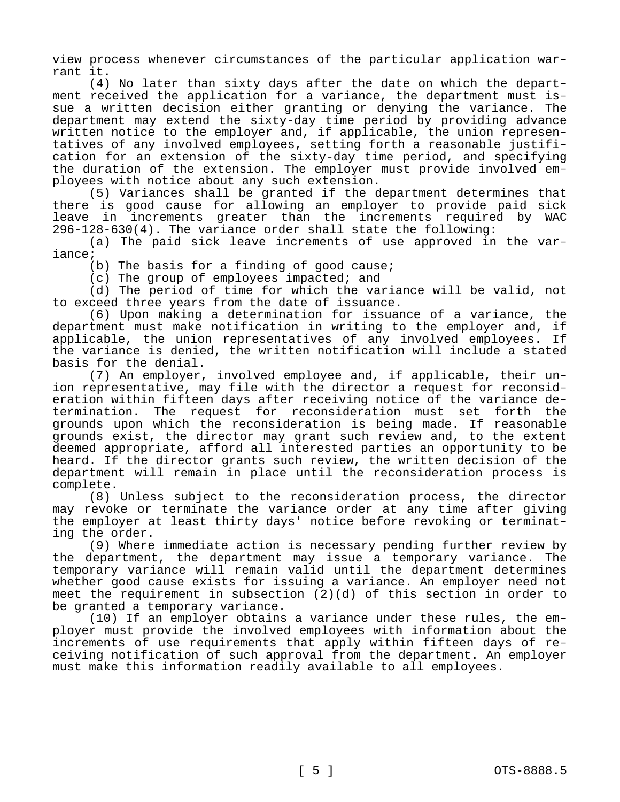view process whenever circumstances of the particular application warrant it.

(4) No later than sixty days after the date on which the department received the application for a variance, the department must issue a written decision either granting or denying the variance. The department may extend the sixty-day time period by providing advance written notice to the employer and, if applicable, the union representatives of any involved employees, setting forth a reasonable justification for an extension of the sixty-day time period, and specifying the duration of the extension. The employer must provide involved employees with notice about any such extension.

(5) Variances shall be granted if the department determines that there is good cause for allowing an employer to provide paid sick leave in increments greater than the increments required by WAC 296-128-630(4). The variance order shall state the following:

(a) The paid sick leave increments of use approved in the variance;

(b) The basis for a finding of good cause;

(c) The group of employees impacted; and

(d) The period of time for which the variance will be valid, not to exceed three years from the date of issuance.

(6) Upon making a determination for issuance of a variance, the department must make notification in writing to the employer and, if applicable, the union representatives of any involved employees. If the variance is denied, the written notification will include a stated basis for the denial.

(7) An employer, involved employee and, if applicable, their union representative, may file with the director a request for reconsideration within fifteen days after receiving notice of the variance determination. The request for reconsideration must set forth the grounds upon which the reconsideration is being made. If reasonable grounds exist, the director may grant such review and, to the extent deemed appropriate, afford all interested parties an opportunity to be heard. If the director grants such review, the written decision of the department will remain in place until the reconsideration process is complete.

(8) Unless subject to the reconsideration process, the director may revoke or terminate the variance order at any time after giving the employer at least thirty days' notice before revoking or terminating the order.

(9) Where immediate action is necessary pending further review by the department, the department may issue a temporary variance. The temporary variance will remain valid until the department determines whether good cause exists for issuing a variance. An employer need not meet the requirement in subsection (2)(d) of this section in order to be granted a temporary variance.

(10) If an employer obtains a variance under these rules, the employer must provide the involved employees with information about the increments of use requirements that apply within fifteen days of receiving notification of such approval from the department. An employer must make this information readily available to all employees.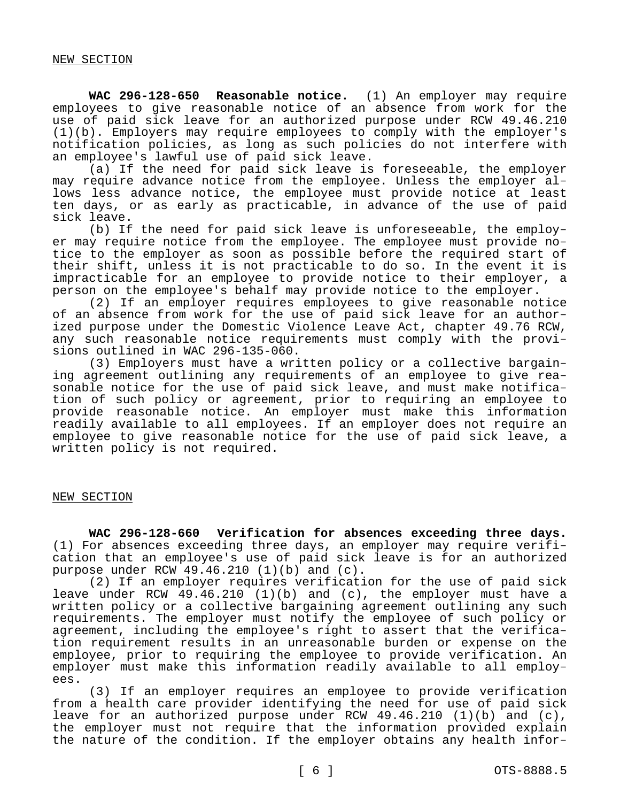**WAC 296-128-650 Reasonable notice.** (1) An employer may require employees to give reasonable notice of an absence from work for the use of paid sick leave for an authorized purpose under RCW 49.46.210 (1)(b). Employers may require employees to comply with the employer's notification policies, as long as such policies do not interfere with an employee's lawful use of paid sick leave.

(a) If the need for paid sick leave is foreseeable, the employer may require advance notice from the employee. Unless the employer allows less advance notice, the employee must provide notice at least ten days, or as early as practicable, in advance of the use of paid sick leave.

(b) If the need for paid sick leave is unforeseeable, the employer may require notice from the employee. The employee must provide notice to the employer as soon as possible before the required start of their shift, unless it is not practicable to do so. In the event it is impracticable for an employee to provide notice to their employer, a person on the employee's behalf may provide notice to the employer.

(2) If an employer requires employees to give reasonable notice of an absence from work for the use of paid sick leave for an authorized purpose under the Domestic Violence Leave Act, chapter 49.76 RCW, any such reasonable notice requirements must comply with the provisions outlined in WAC 296-135-060.

(3) Employers must have a written policy or a collective bargaining agreement outlining any requirements of an employee to give reasonable notice for the use of paid sick leave, and must make notification of such policy or agreement, prior to requiring an employee to provide reasonable notice. An employer must make this information readily available to all employees. If an employer does not require an employee to give reasonable notice for the use of paid sick leave, a written policy is not required.

### NEW SECTION

**WAC 296-128-660 Verification for absences exceeding three days.**  (1) For absences exceeding three days, an employer may require verification that an employee's use of paid sick leave is for an authorized purpose under RCW  $49.46.210$  (1)(b) and (c).

(2) If an employer requires verification for the use of paid sick leave under RCW 49.46.210 (1)(b) and (c), the employer must have a written policy or a collective bargaining agreement outlining any such requirements. The employer must notify the employee of such policy or agreement, including the employee's right to assert that the verification requirement results in an unreasonable burden or expense on the employee, prior to requiring the employee to provide verification. An employer must make this information readily available to all employees.

(3) If an employer requires an employee to provide verification from a health care provider identifying the need for use of paid sick leave for an authorized purpose under RCW  $49.46.210$  (1)(b) and (c), the employer must not require that the information provided explain the nature of the condition. If the employer obtains any health infor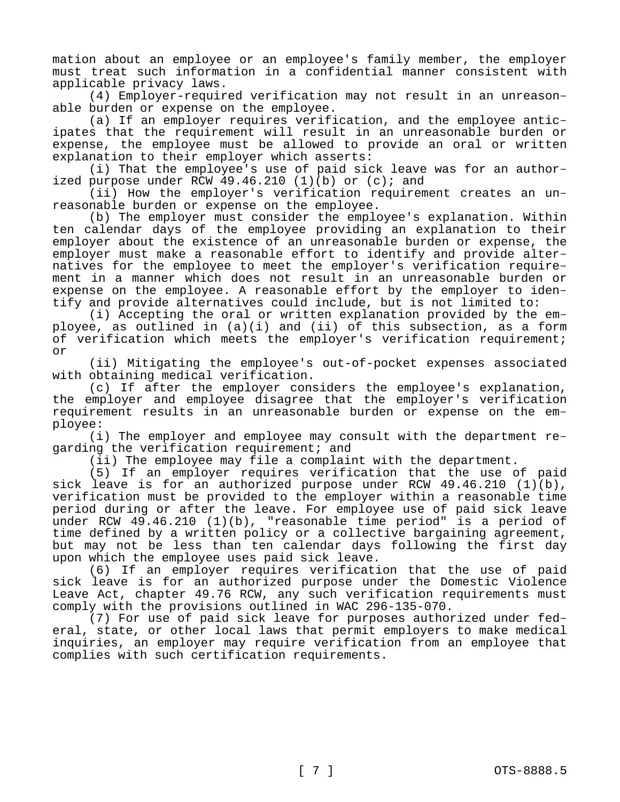mation about an employee or an employee's family member, the employer must treat such information in a confidential manner consistent with applicable privacy laws.

(4) Employer-required verification may not result in an unreasonable burden or expense on the employee.

(a) If an employer requires verification, and the employee anticipates that the requirement will result in an unreasonable burden or expense, the employee must be allowed to provide an oral or written explanation to their employer which asserts:

(i) That the employee's use of paid sick leave was for an authorized purpose under RCW  $49.46.210$  (1)(b) or (c); and

(ii) How the employer's verification requirement creates an unreasonable burden or expense on the employee.

(b) The employer must consider the employee's explanation. Within ten calendar days of the employee providing an explanation to their employer about the existence of an unreasonable burden or expense, the employer must make a reasonable effort to identify and provide alternatives for the employee to meet the employer's verification requirement in a manner which does not result in an unreasonable burden or expense on the employee. A reasonable effort by the employer to identify and provide alternatives could include, but is not limited to:

(i) Accepting the oral or written explanation provided by the employee, as outlined in (a)(i) and (ii) of this subsection, as a form of verification which meets the employer's verification requirement; or

(ii) Mitigating the employee's out-of-pocket expenses associated with obtaining medical verification.

(c) If after the employer considers the employee's explanation, the employer and employee disagree that the employer's verification requirement results in an unreasonable burden or expense on the employee:

(i) The employer and employee may consult with the department regarding the verification requirement; and

(ii) The employee may file a complaint with the department.

(5) If an employer requires verification that the use of paid sick leave is for an authorized purpose under RCW 49.46.210  $(1)(b)$ , verification must be provided to the employer within a reasonable time period during or after the leave. For employee use of paid sick leave under RCW 49.46.210 (1)(b), "reasonable time period" is a period of time defined by a written policy or a collective bargaining agreement, but may not be less than ten calendar days following the first day upon which the employee uses paid sick leave.

(6) If an employer requires verification that the use of paid sick leave is for an authorized purpose under the Domestic Violence Leave Act, chapter 49.76 RCW, any such verification requirements must comply with the provisions outlined in WAC 296-135-070.

(7) For use of paid sick leave for purposes authorized under federal, state, or other local laws that permit employers to make medical inquiries, an employer may require verification from an employee that complies with such certification requirements.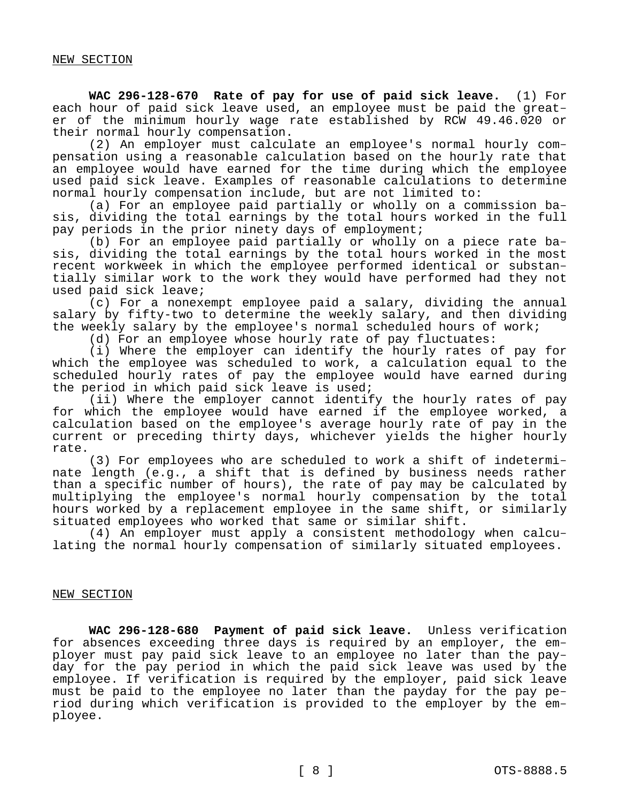**WAC 296-128-670 Rate of pay for use of paid sick leave.** (1) For each hour of paid sick leave used, an employee must be paid the greater of the minimum hourly wage rate established by RCW 49.46.020 or their normal hourly compensation.

(2) An employer must calculate an employee's normal hourly compensation using a reasonable calculation based on the hourly rate that an employee would have earned for the time during which the employee used paid sick leave. Examples of reasonable calculations to determine normal hourly compensation include, but are not limited to:

(a) For an employee paid partially or wholly on a commission basis, dividing the total earnings by the total hours worked in the full pay periods in the prior ninety days of employment;

(b) For an employee paid partially or wholly on a piece rate basis, dividing the total earnings by the total hours worked in the most recent workweek in which the employee performed identical or substantially similar work to the work they would have performed had they not used paid sick leave;

(c) For a nonexempt employee paid a salary, dividing the annual salary by fifty-two to determine the weekly salary, and then dividing the weekly salary by the employee's normal scheduled hours of work;

(d) For an employee whose hourly rate of pay fluctuates:

(i) Where the employer can identify the hourly rates of pay for which the employee was scheduled to work, a calculation equal to the scheduled hourly rates of pay the employee would have earned during the period in which paid sick leave is used;

(ii) Where the employer cannot identify the hourly rates of pay for which the employee would have earned if the employee worked, a calculation based on the employee's average hourly rate of pay in the current or preceding thirty days, whichever yields the higher hourly rate.

(3) For employees who are scheduled to work a shift of indeterminate length (e.g., a shift that is defined by business needs rather than a specific number of hours), the rate of pay may be calculated by multiplying the employee's normal hourly compensation by the total hours worked by a replacement employee in the same shift, or similarly situated employees who worked that same or similar shift.

(4) An employer must apply a consistent methodology when calculating the normal hourly compensation of similarly situated employees.

### NEW SECTION

**WAC 296-128-680 Payment of paid sick leave.** Unless verification for absences exceeding three days is required by an employer, the employer must pay paid sick leave to an employee no later than the payday for the pay period in which the paid sick leave was used by the employee. If verification is required by the employer, paid sick leave must be paid to the employee no later than the payday for the pay period during which verification is provided to the employer by the employee.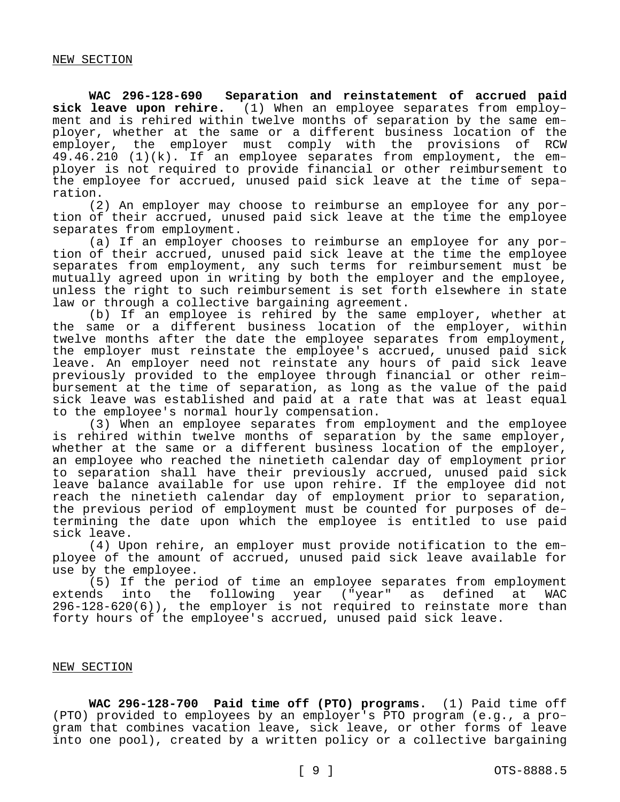**WAC 296-128-690 Separation and reinstatement of accrued paid sick leave upon rehire.** (1) When an employee separates from employment and is rehired within twelve months of separation by the same employer, whether at the same or a different business location of the employer, the employer must comply with the provisions of RCW 49.46.210 (1)(k). If an employee separates from employment, the employer is not required to provide financial or other reimbursement to the employee for accrued, unused paid sick leave at the time of separation.

(2) An employer may choose to reimburse an employee for any portion of their accrued, unused paid sick leave at the time the employee separates from employment.

(a) If an employer chooses to reimburse an employee for any portion of their accrued, unused paid sick leave at the time the employee separates from employment, any such terms for reimbursement must be mutually agreed upon in writing by both the employer and the employee, unless the right to such reimbursement is set forth elsewhere in state law or through a collective bargaining agreement.

(b) If an employee is rehired by the same employer, whether at the same or a different business location of the employer, within twelve months after the date the employee separates from employment, the employer must reinstate the employee's accrued, unused paid sick leave. An employer need not reinstate any hours of paid sick leave previously provided to the employee through financial or other reimbursement at the time of separation, as long as the value of the paid sick leave was established and paid at a rate that was at least equal to the employee's normal hourly compensation.

(3) When an employee separates from employment and the employee is rehired within twelve months of separation by the same employer, whether at the same or a different business location of the employer, an employee who reached the ninetieth calendar day of employment prior to separation shall have their previously accrued, unused paid sick leave balance available for use upon rehire. If the employee did not reach the ninetieth calendar day of employment prior to separation, the previous period of employment must be counted for purposes of determining the date upon which the employee is entitled to use paid sick leave.

(4) Upon rehire, an employer must provide notification to the employee of the amount of accrued, unused paid sick leave available for use by the employee.

(5) If the period of time an employee separates from employment extends into the following year ("year" as defined at WAC 296-128-620(6)), the employer is not required to reinstate more than forty hours of the employee's accrued, unused paid sick leave.

#### NEW SECTION

**WAC 296-128-700 Paid time off (PTO) programs.** (1) Paid time off (PTO) provided to employees by an employer's PTO program (e.g., a program that combines vacation leave, sick leave, or other forms of leave into one pool), created by a written policy or a collective bargaining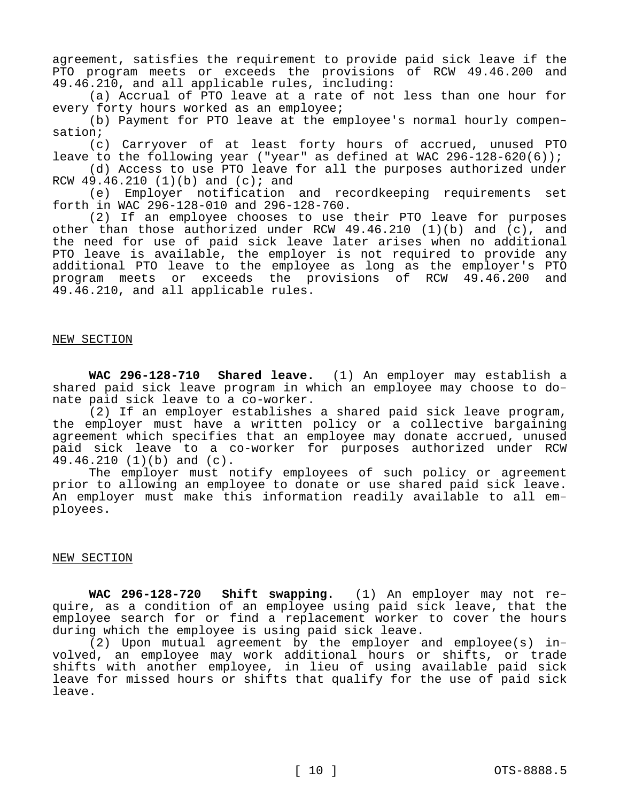agreement, satisfies the requirement to provide paid sick leave if the PTO program meets or exceeds the provisions of RCW 49.46.200 and 49.46.210, and all applicable rules, including:

(a) Accrual of PTO leave at a rate of not less than one hour for every forty hours worked as an employee;

(b) Payment for PTO leave at the employee's normal hourly compensation;

(c) Carryover of at least forty hours of accrued, unused PTO leave to the following year ("year" as defined at WAC 296-128-620(6));

(d) Access to use PTO leave for all the purposes authorized under RCW  $49.46.210$  (1)(b) and (c); and

(e) Employer notification and recordkeeping requirements set forth in WAC 296-128-010 and 296-128-760.

(2) If an employee chooses to use their PTO leave for purposes other than those authorized under RCW 49.46.210 (1)(b) and (c), and the need for use of paid sick leave later arises when no additional PTO leave is available, the employer is not required to provide any additional PTO leave to the employee as long as the employer's PTO program meets or exceeds the provisions of RCW 49.46.200 and 49.46.210, and all applicable rules.

### NEW SECTION

**WAC 296-128-710 Shared leave.** (1) An employer may establish a shared paid sick leave program in which an employee may choose to donate paid sick leave to a co-worker.

(2) If an employer establishes a shared paid sick leave program, the employer must have a written policy or a collective bargaining agreement which specifies that an employee may donate accrued, unused paid sick leave to a co-worker for purposes authorized under RCW 49.46.210 (1)(b) and (c).

The employer must notify employees of such policy or agreement prior to allowing an employee to donate or use shared paid sick leave. An employer must make this information readily available to all employees.

### NEW SECTION

**WAC 296-128-720 Shift swapping.** (1) An employer may not require, as a condition of an employee using paid sick leave, that the employee search for or find a replacement worker to cover the hours during which the employee is using paid sick leave.

(2) Upon mutual agreement by the employer and employee(s) involved, an employee may work additional hours or shifts, or trade shifts with another employee, in lieu of using available paid sick leave for missed hours or shifts that qualify for the use of paid sick leave.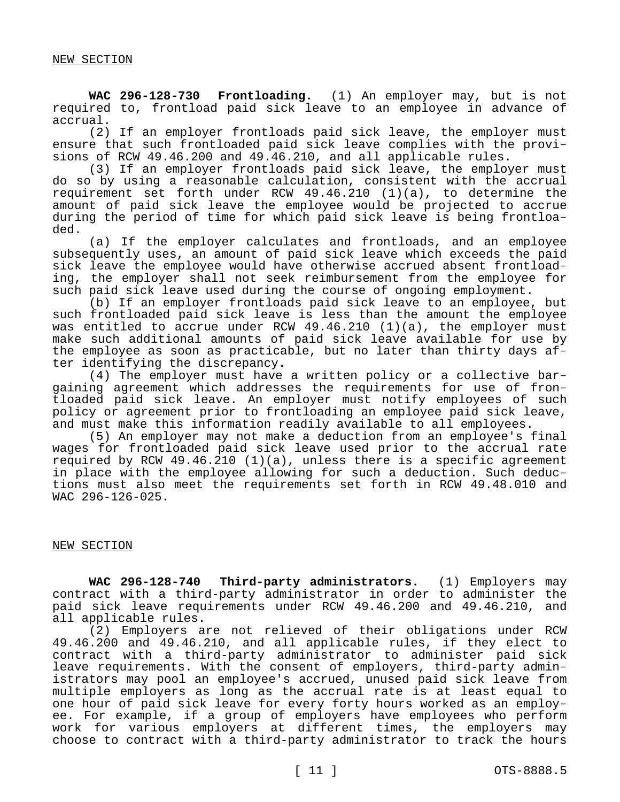**WAC 296-128-730 Frontloading.** (1) An employer may, but is not required to, frontload paid sick leave to an employee in advance of accrual.

(2) If an employer frontloads paid sick leave, the employer must ensure that such frontloaded paid sick leave complies with the provisions of RCW 49.46.200 and 49.46.210, and all applicable rules.

(3) If an employer frontloads paid sick leave, the employer must do so by using a reasonable calculation, consistent with the accrual requirement set forth under RCW 49.46.210 (1)(a), to determine the amount of paid sick leave the employee would be projected to accrue during the period of time for which paid sick leave is being frontloaded.

(a) If the employer calculates and frontloads, and an employee subsequently uses, an amount of paid sick leave which exceeds the paid sick leave the employee would have otherwise accrued absent frontloading, the employer shall not seek reimbursement from the employee for such paid sick leave used during the course of ongoing employment.

(b) If an employer frontloads paid sick leave to an employee, but such frontloaded paid sick leave is less than the amount the employee was entitled to accrue under RCW 49.46.210 (1)(a), the employer must make such additional amounts of paid sick leave available for use by the employee as soon as practicable, but no later than thirty days after identifying the discrepancy.

(4) The employer must have a written policy or a collective bargaining agreement which addresses the requirements for use of frontloaded paid sick leave. An employer must notify employees of such policy or agreement prior to frontloading an employee paid sick leave, and must make this information readily available to all employees.

(5) An employer may not make a deduction from an employee's final wages for frontloaded paid sick leave used prior to the accrual rate required by RCW 49.46.210 (1)(a), unless there is a specific agreement in place with the employee allowing for such a deduction. Such deductions must also meet the requirements set forth in RCW 49.48.010 and WAC 296-126-025.

# NEW SECTION

**WAC 296-128-740 Third-party administrators.** (1) Employers may contract with a third-party administrator in order to administer the paid sick leave requirements under RCW 49.46.200 and 49.46.210, and all applicable rules.

(2) Employers are not relieved of their obligations under RCW 49.46.200 and 49.46.210, and all applicable rules, if they elect to contract with a third-party administrator to administer paid sick leave requirements. With the consent of employers, third-party administrators may pool an employee's accrued, unused paid sick leave from multiple employers as long as the accrual rate is at least equal to one hour of paid sick leave for every forty hours worked as an employee. For example, if a group of employers have employees who perform work for various employers at different times, the employers may choose to contract with a third-party administrator to track the hours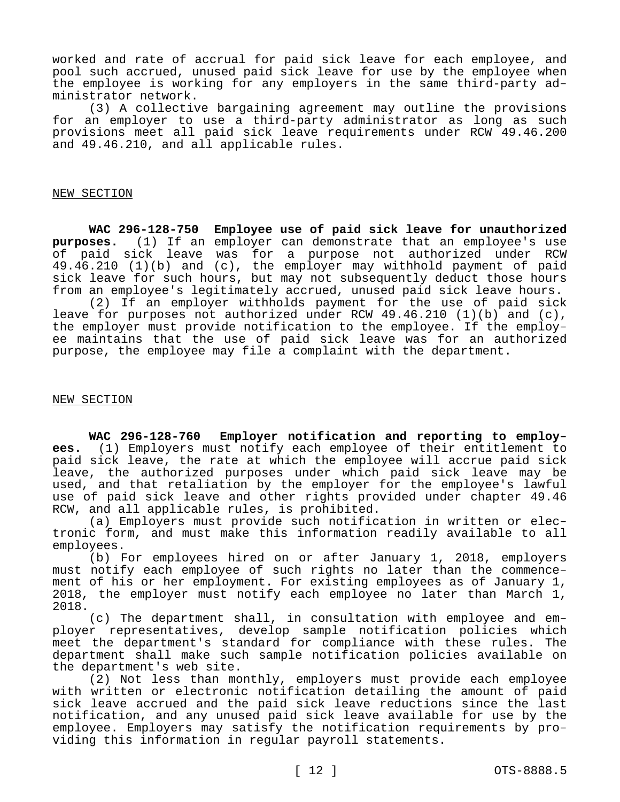worked and rate of accrual for paid sick leave for each employee, and pool such accrued, unused paid sick leave for use by the employee when the employee is working for any employers in the same third-party administrator network.

(3) A collective bargaining agreement may outline the provisions for an employer to use a third-party administrator as long as such provisions meet all paid sick leave requirements under RCW 49.46.200 and 49.46.210, and all applicable rules.

#### NEW SECTION

**WAC 296-128-750 Employee use of paid sick leave for unauthorized purposes.** (1) If an employer can demonstrate that an employee's use of paid sick leave was for a purpose not authorized under RCW 49.46.210 (1)(b) and (c), the employer may withhold payment of paid sick leave for such hours, but may not subsequently deduct those hours from an employee's legitimately accrued, unused paid sick leave hours.

(2) If an employer withholds payment for the use of paid sick leave for purposes not authorized under RCW 49.46.210 (1)(b) and (c), the employer must provide notification to the employee. If the employee maintains that the use of paid sick leave was for an authorized purpose, the employee may file a complaint with the department.

### NEW SECTION

**WAC 296-128-760 Employer notification and reporting to employees.** (1) Employers must notify each employee of their entitlement to paid sick leave, the rate at which the employee will accrue paid sick leave, the authorized purposes under which paid sick leave may be used, and that retaliation by the employer for the employee's lawful use of paid sick leave and other rights provided under chapter 49.46 RCW, and all applicable rules, is prohibited.

(a) Employers must provide such notification in written or electronic form, and must make this information readily available to all employees.

(b) For employees hired on or after January 1, 2018, employers must notify each employee of such rights no later than the commencement of his or her employment. For existing employees as of January 1, 2018, the employer must notify each employee no later than March 1, 2018.

(c) The department shall, in consultation with employee and employer representatives, develop sample notification policies which meet the department's standard for compliance with these rules. The department shall make such sample notification policies available on the department's web site.

(2) Not less than monthly, employers must provide each employee with written or electronic notification detailing the amount of paid sick leave accrued and the paid sick leave reductions since the last notification, and any unused paid sick leave available for use by the employee. Employers may satisfy the notification requirements by providing this information in regular payroll statements.